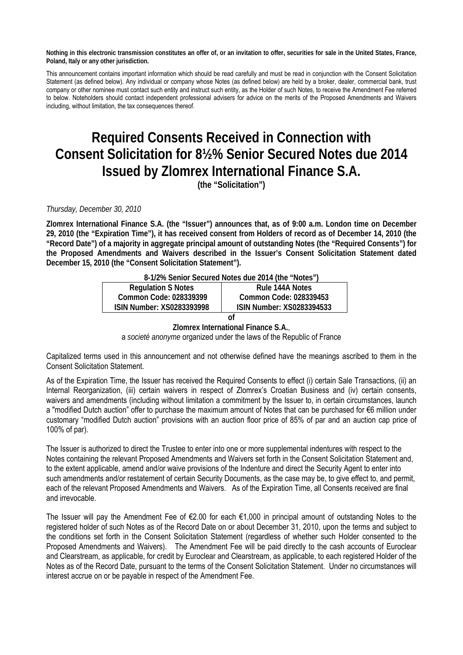**Nothing in this electronic transmission constitutes an offer of, or an invitation to offer, securities for sale in the United States, France, Poland, Italy or any other jurisdiction.** 

This announcement contains important information which should be read carefully and must be read in conjunction with the Consent Solicitation Statement (as defined below). Any individual or company whose Notes (as defined below) are held by a broker, dealer, commercial bank, trust company or other nominee must contact such entity and instruct such entity, as the Holder of such Notes, to receive the Amendment Fee referred to below. Noteholders should contact independent professional advisers for advice on the merits of the Proposed Amendments and Waivers including, without limitation, the tax consequences thereof.

## **Required Consents Received in Connection with Consent Solicitation for 8½% Senior Secured Notes due 2014 Issued by Zlomrex International Finance S.A.**

**(the "Solicitation")** 

## *Thursday, December 30, 2010*

**Zlomrex International Finance S.A. (the "Issuer") announces that, as of 9:00 a.m. London time on December 29, 2010 (the "Expiration Time"), it has received consent from Holders of record as of December 14, 2010 (the "Record Date") of a majority in aggregate principal amount of outstanding Notes (the "Required Consents") for the Proposed Amendments and Waivers described in the Issuer's Consent Solicitation Statement dated December 15, 2010 (the "Consent Solicitation Statement").** 

| 8-1/2% Senior Secured Notes due 2014 (the "Notes") |                                  |
|----------------------------------------------------|----------------------------------|
| <b>Regulation S Notes</b>                          | Rule 144A Notes                  |
| Common Code: 028339399                             | Common Code: 028339453           |
| <b>ISIN Number: XS0283393998</b>                   | <b>ISIN Number: XS0283394533</b> |
|                                                    |                                  |

**Zlomrex International Finance S.A.**,

a *societé anonyme* organized under the laws of the Republic of France

Capitalized terms used in this announcement and not otherwise defined have the meanings ascribed to them in the Consent Solicitation Statement.

As of the Expiration Time, the Issuer has received the Required Consents to effect (i) certain Sale Transactions, (ii) an Internal Reorganization, (iii) certain waivers in respect of Zlomrex's Croatian Business and (iv) certain consents, waivers and amendments (including without limitation a commitment by the Issuer to, in certain circumstances, launch a "modified Dutch auction" offer to purchase the maximum amount of Notes that can be purchased for €6 million under customary "modified Dutch auction" provisions with an auction floor price of 85% of par and an auction cap price of 100% of par).

The Issuer is authorized to direct the Trustee to enter into one or more supplemental indentures with respect to the Notes containing the relevant Proposed Amendments and Waivers set forth in the Consent Solicitation Statement and, to the extent applicable, amend and/or waive provisions of the Indenture and direct the Security Agent to enter into such amendments and/or restatement of certain Security Documents, as the case may be, to give effect to, and permit, each of the relevant Proposed Amendments and Waivers. As of the Expiration Time, all Consents received are final and irrevocable.

The Issuer will pay the Amendment Fee of €2.00 for each €1,000 in principal amount of outstanding Notes to the registered holder of such Notes as of the Record Date on or about December 31, 2010, upon the terms and subject to the conditions set forth in the Consent Solicitation Statement (regardless of whether such Holder consented to the Proposed Amendments and Waivers). The Amendment Fee will be paid directly to the cash accounts of Euroclear and Clearstream, as applicable, for credit by Euroclear and Clearstream, as applicable, to each registered Holder of the Notes as of the Record Date, pursuant to the terms of the Consent Solicitation Statement. Under no circumstances will interest accrue on or be payable in respect of the Amendment Fee.